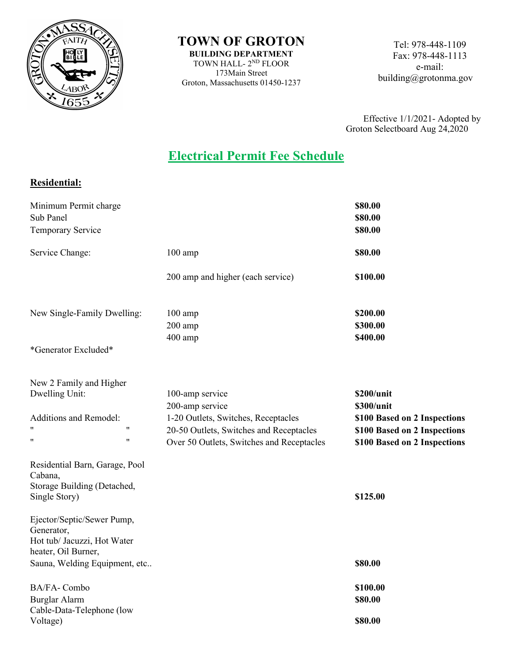

**TOWN OF GROTON BUILDING DEPARTMENT**

TOWN HALL- 2ND FLOOR 173Main Street Groton, Massachusetts 01450-1237

Tel: 978-448-1109 Fax: 978-448-1113 e-mail: building@grotonma.gov

Effective 1/1/2021- Adopted by Groton Selectboard Aug 24,2020

## **Electrical Permit Fee Schedule**

## **Residential:**

| Minimum Permit charge<br>Sub Panel<br>Temporary Service                                        |                                                                                      | \$80.00<br>\$80.00<br>\$80.00                                |
|------------------------------------------------------------------------------------------------|--------------------------------------------------------------------------------------|--------------------------------------------------------------|
| Service Change:                                                                                | $100$ amp                                                                            | \$80.00                                                      |
|                                                                                                | 200 amp and higher (each service)                                                    | \$100.00                                                     |
| New Single-Family Dwelling:                                                                    | $100$ amp<br>200 amp<br>400 amp                                                      | \$200.00<br>\$300.00<br>\$400.00                             |
| *Generator Excluded*                                                                           |                                                                                      |                                                              |
| New 2 Family and Higher<br>Dwelling Unit:<br>Additions and Remodel:                            | 100-amp service<br>200-amp service<br>1-20 Outlets, Switches, Receptacles            | \$200/unit<br>\$300/unit<br>\$100 Based on 2 Inspections     |
| $^{\dagger}$<br>11<br>11<br>11                                                                 | 20-50 Outlets, Switches and Receptacles<br>Over 50 Outlets, Switches and Receptacles | \$100 Based on 2 Inspections<br>\$100 Based on 2 Inspections |
| Residential Barn, Garage, Pool<br>Cabana,<br>Storage Building (Detached,                       |                                                                                      |                                                              |
| Single Story)                                                                                  |                                                                                      | \$125.00                                                     |
| Ejector/Septic/Sewer Pump,<br>Generator,<br>Hot tub/ Jacuzzi, Hot Water<br>heater, Oil Burner, |                                                                                      |                                                              |
| Sauna, Welding Equipment, etc                                                                  |                                                                                      | \$80.00                                                      |
| BA/FA-Combo<br>Burglar Alarm                                                                   |                                                                                      | \$100.00<br>\$80.00                                          |
| Cable-Data-Telephone (low<br>Voltage)                                                          |                                                                                      | \$80.00                                                      |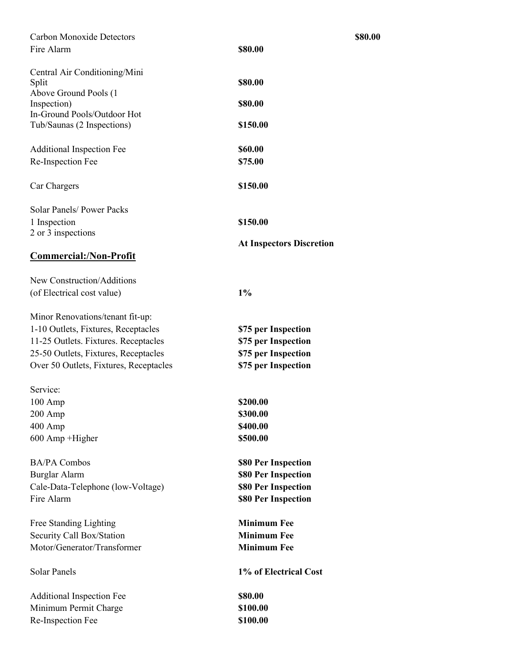| <b>Carbon Monoxide Detectors</b><br>Fire Alarm                                                                                                                                                    | \$80.00<br>\$80.00                                                                       |
|---------------------------------------------------------------------------------------------------------------------------------------------------------------------------------------------------|------------------------------------------------------------------------------------------|
| Central Air Conditioning/Mini<br>Split<br>Above Ground Pools (1<br>Inspection)<br>In-Ground Pools/Outdoor Hot<br>Tub/Saunas (2 Inspections)                                                       | \$80.00<br>\$80.00<br>\$150.00                                                           |
| <b>Additional Inspection Fee</b><br>Re-Inspection Fee                                                                                                                                             | \$60.00<br>\$75.00                                                                       |
| Car Chargers                                                                                                                                                                                      | \$150.00                                                                                 |
| Solar Panels/ Power Packs<br>1 Inspection<br>2 or 3 inspections<br><b>Commercial:/Non-Profit</b>                                                                                                  | \$150.00<br><b>At Inspectors Discretion</b>                                              |
| New Construction/Additions<br>(of Electrical cost value)                                                                                                                                          | $1\%$                                                                                    |
| Minor Renovations/tenant fit-up:<br>1-10 Outlets, Fixtures, Receptacles<br>11-25 Outlets. Fixtures. Receptacles<br>25-50 Outlets, Fixtures, Receptacles<br>Over 50 Outlets, Fixtures, Receptacles | \$75 per Inspection<br>\$75 per Inspection<br>\$75 per Inspection<br>\$75 per Inspection |
| Service:<br>$100 \text{ Amp}$<br>$200$ Amp<br>$400$ Amp<br>600 Amp +Higher                                                                                                                        | \$200.00<br>\$300.00<br>\$400.00<br>\$500.00                                             |
| <b>BA/PA Combos</b><br>Burglar Alarm<br>Cale-Data-Telephone (low-Voltage)<br>Fire Alarm                                                                                                           | \$80 Per Inspection<br>\$80 Per Inspection<br>\$80 Per Inspection<br>\$80 Per Inspection |
| Free Standing Lighting<br>Security Call Box/Station<br>Motor/Generator/Transformer                                                                                                                | <b>Minimum Fee</b><br><b>Minimum Fee</b><br><b>Minimum Fee</b>                           |
| <b>Solar Panels</b>                                                                                                                                                                               | 1% of Electrical Cost                                                                    |
| <b>Additional Inspection Fee</b><br>Minimum Permit Charge<br>Re-Inspection Fee                                                                                                                    | \$80.00<br>\$100.00<br>\$100.00                                                          |